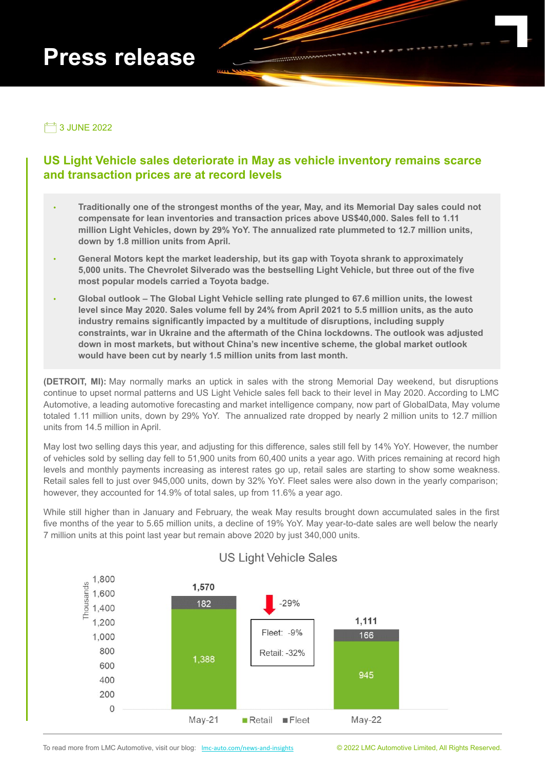# **Press release**



**7** 3 JUNE 2022

## **US Light Vehicle sales deteriorate in May as vehicle inventory remains scarce and transaction prices are at record levels**

- ∙ **Traditionally one of the strongest months of the year, May, and its Memorial Day sales could not compensate for lean inventories and transaction prices above US\$40,000. Sales fell to 1.11 million Light Vehicles, down by 29% YoY. The annualized rate plummeted to 12.7 million units, down by 1.8 million units from April.**
- ∙ **General Motors kept the market leadership, but its gap with Toyota shrank to approximately 5,000 units. The Chevrolet Silverado was the bestselling Light Vehicle, but three out of the five most popular models carried a Toyota badge.**
- ∙ **Global outlook The Global Light Vehicle selling rate plunged to 67.6 million units, the lowest level since May 2020. Sales volume fell by 24% from April 2021 to 5.5 million units, as the auto industry remains significantly impacted by a multitude of disruptions, including supply constraints, war in Ukraine and the aftermath of the China lockdowns. The outlook was adjusted down in most markets, but without China's new incentive scheme, the global market outlook would have been cut by nearly 1.5 million units from last month.**

**(DETROIT, MI):** May normally marks an uptick in sales with the strong Memorial Day weekend, but disruptions continue to upset normal patterns and US Light Vehicle sales fell back to their level in May 2020. According to LMC Automotive, a leading automotive forecasting and market intelligence company, now part of GlobalData, May volume totaled 1.11 million units, down by 29% YoY. The annualized rate dropped by nearly 2 million units to 12.7 million units from 14.5 million in April.

May lost two selling days this year, and adjusting for this difference, sales still fell by 14% YoY. However, the number of vehicles sold by selling day fell to 51,900 units from 60,400 units a year ago. With prices remaining at record high levels and monthly payments increasing as interest rates go up, retail sales are starting to show some weakness. Retail sales fell to just over 945,000 units, down by 32% YoY. Fleet sales were also down in the yearly comparison; however, they accounted for 14.9% of total sales, up from 11.6% a year ago.

While still higher than in January and February, the weak May results brought down accumulated sales in the first five months of the year to 5.65 million units, a decline of 19% YoY. May year-to-date sales are well below the nearly 7 million units at this point last year but remain above 2020 by just 340,000 units.



## **US Light Vehicle Sales**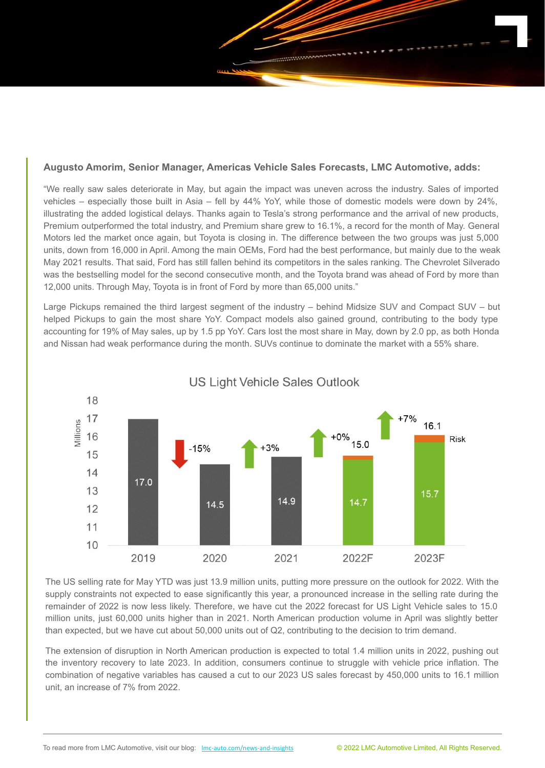

"We really saw sales deteriorate in May, but again the impact was uneven across the industry. Sales of imported vehicles – especially those built in Asia – fell by 44% YoY, while those of domestic models were down by 24%, illustrating the added logistical delays. Thanks again to Tesla's strong performance and the arrival of new products, Premium outperformed the total industry, and Premium share grew to 16.1%, a record for the month of May. General Motors led the market once again, but Toyota is closing in. The difference between the two groups was just 5,000 units, down from 16,000 in April. Among the main OEMs, Ford had the best performance, but mainly due to the weak May 2021 results. That said, Ford has still fallen behind its competitors in the sales ranking. The Chevrolet Silverado was the bestselling model for the second consecutive month, and the Toyota brand was ahead of Ford by more than 12,000 units. Through May, Toyota is in front of Ford by more than 65,000 units."

Large Pickups remained the third largest segment of the industry – behind Midsize SUV and Compact SUV – but helped Pickups to gain the most share YoY. Compact models also gained ground, contributing to the body type accounting for 19% of May sales, up by 1.5 pp YoY. Cars lost the most share in May, down by 2.0 pp, as both Honda and Nissan had weak performance during the month. SUVs continue to dominate the market with a 55% share.



**US Light Vehicle Sales Outlook** 

The US selling rate for May YTD was just 13.9 million units, putting more pressure on the outlook for 2022. With the supply constraints not expected to ease significantly this year, a pronounced increase in the selling rate during the remainder of 2022 is now less likely. Therefore, we have cut the 2022 forecast for US Light Vehicle sales to 15.0 million units, just 60,000 units higher than in 2021. North American production volume in April was slightly better than expected, but we have cut about 50,000 units out of Q2, contributing to the decision to trim demand.

The extension of disruption in North American production is expected to total 1.4 million units in 2022, pushing out the inventory recovery to late 2023. In addition, consumers continue to struggle with vehicle price inflation. The combination of negative variables has caused a cut to our 2023 US sales forecast by 450,000 units to 16.1 million unit, an increase of 7% from 2022.